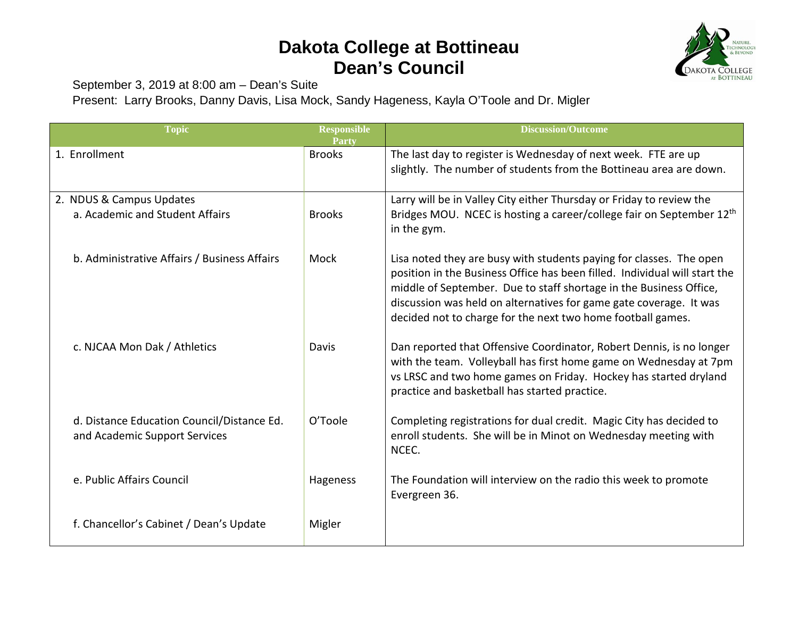## **Dakota College at Bottineau Dean's Council**



September 3, 2019 at 8:00 am – Dean's Suite

Present: Larry Brooks, Danny Davis, Lisa Mock, Sandy Hageness, Kayla O'Toole and Dr. Migler

| <b>Topic</b>                                                                | <b>Responsible</b><br>Partv | <b>Discussion/Outcome</b>                                                                                                                                                                                                                                                                                                                                    |
|-----------------------------------------------------------------------------|-----------------------------|--------------------------------------------------------------------------------------------------------------------------------------------------------------------------------------------------------------------------------------------------------------------------------------------------------------------------------------------------------------|
| 1. Enrollment                                                               | <b>Brooks</b>               | The last day to register is Wednesday of next week. FTE are up<br>slightly. The number of students from the Bottineau area are down.                                                                                                                                                                                                                         |
| 2. NDUS & Campus Updates<br>a. Academic and Student Affairs                 | <b>Brooks</b>               | Larry will be in Valley City either Thursday or Friday to review the<br>Bridges MOU. NCEC is hosting a career/college fair on September 12 <sup>th</sup><br>in the gym.                                                                                                                                                                                      |
| b. Administrative Affairs / Business Affairs                                | Mock                        | Lisa noted they are busy with students paying for classes. The open<br>position in the Business Office has been filled. Individual will start the<br>middle of September. Due to staff shortage in the Business Office,<br>discussion was held on alternatives for game gate coverage. It was<br>decided not to charge for the next two home football games. |
| c. NJCAA Mon Dak / Athletics                                                | Davis                       | Dan reported that Offensive Coordinator, Robert Dennis, is no longer<br>with the team. Volleyball has first home game on Wednesday at 7pm<br>vs LRSC and two home games on Friday. Hockey has started dryland<br>practice and basketball has started practice.                                                                                               |
| d. Distance Education Council/Distance Ed.<br>and Academic Support Services | O'Toole                     | Completing registrations for dual credit. Magic City has decided to<br>enroll students. She will be in Minot on Wednesday meeting with<br>NCEC.                                                                                                                                                                                                              |
| e. Public Affairs Council                                                   | Hageness                    | The Foundation will interview on the radio this week to promote<br>Evergreen 36.                                                                                                                                                                                                                                                                             |
| f. Chancellor's Cabinet / Dean's Update                                     | Migler                      |                                                                                                                                                                                                                                                                                                                                                              |